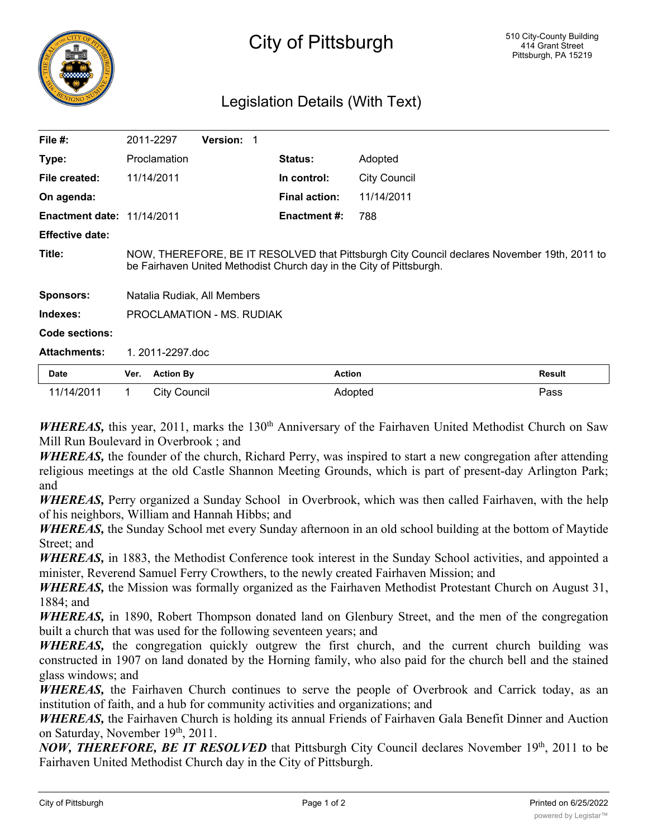

## Legislation Details (With Text)

| File #:                           | 2011-2297                                                                                                                                                          | <b>Version:</b> |  |                      |                     |               |
|-----------------------------------|--------------------------------------------------------------------------------------------------------------------------------------------------------------------|-----------------|--|----------------------|---------------------|---------------|
| Type:                             | Proclamation                                                                                                                                                       |                 |  | <b>Status:</b>       | Adopted             |               |
| File created:                     | 11/14/2011                                                                                                                                                         |                 |  | In control:          | <b>City Council</b> |               |
| On agenda:                        |                                                                                                                                                                    |                 |  | <b>Final action:</b> | 11/14/2011          |               |
| <b>Enactment date: 11/14/2011</b> |                                                                                                                                                                    |                 |  | <b>Enactment #:</b>  | 788                 |               |
| <b>Effective date:</b>            |                                                                                                                                                                    |                 |  |                      |                     |               |
| Title:                            | NOW, THEREFORE, BE IT RESOLVED that Pittsburgh City Council declares November 19th, 2011 to<br>be Fairhaven United Methodist Church day in the City of Pittsburgh. |                 |  |                      |                     |               |
| <b>Sponsors:</b>                  | Natalia Rudiak, All Members                                                                                                                                        |                 |  |                      |                     |               |
| Indexes:                          | PROCLAMATION - MS. RUDIAK                                                                                                                                          |                 |  |                      |                     |               |
| Code sections:                    |                                                                                                                                                                    |                 |  |                      |                     |               |
| <b>Attachments:</b>               | 1. 2011-2297.doc                                                                                                                                                   |                 |  |                      |                     |               |
| <b>Date</b>                       | <b>Action By</b><br>Ver.                                                                                                                                           |                 |  | <b>Action</b>        |                     | <b>Result</b> |

*WHEREAS*, this year, 2011, marks the 130<sup>th</sup> Anniversary of the Fairhaven United Methodist Church on Saw Mill Run Boulevard in Overbrook ; and

11/14/2011 1 City Council **Adopted** Adopted Pass

*WHEREAS,* the founder of the church, Richard Perry, was inspired to start a new congregation after attending religious meetings at the old Castle Shannon Meeting Grounds, which is part of present-day Arlington Park; and

*WHEREAS,* Perry organized a Sunday School in Overbrook, which was then called Fairhaven, with the help of his neighbors, William and Hannah Hibbs; and

*WHEREAS,* the Sunday School met every Sunday afternoon in an old school building at the bottom of Maytide Street; and

*WHEREAS,* in 1883, the Methodist Conference took interest in the Sunday School activities, and appointed a minister, Reverend Samuel Ferry Crowthers, to the newly created Fairhaven Mission; and

*WHEREAS,* the Mission was formally organized as the Fairhaven Methodist Protestant Church on August 31, 1884; and

*WHEREAS,* in 1890, Robert Thompson donated land on Glenbury Street, and the men of the congregation built a church that was used for the following seventeen years; and

*WHEREAS,* the congregation quickly outgrew the first church, and the current church building was constructed in 1907 on land donated by the Horning family, who also paid for the church bell and the stained glass windows; and

*WHEREAS*, the Fairhaven Church continues to serve the people of Overbrook and Carrick today, as an institution of faith, and a hub for community activities and organizations; and

*WHEREAS*, the Fairhaven Church is holding its annual Friends of Fairhaven Gala Benefit Dinner and Auction on Saturday, November 19<sup>th</sup>, 2011.

*NOW, THEREFORE, BE IT RESOLVED* that Pittsburgh City Council declares November 19th, 2011 to be Fairhaven United Methodist Church day in the City of Pittsburgh.